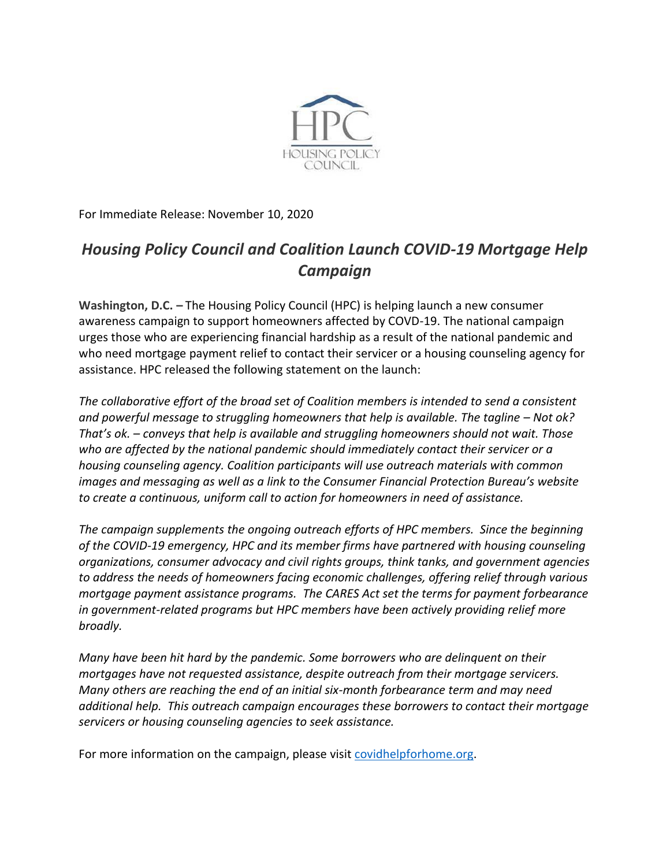

For Immediate Release: November 10, 2020

## *Housing Policy Council and Coalition Launch COVID-19 Mortgage Help Campaign*

**Washington, D.C. –** The Housing Policy Council (HPC) is helping launch a new consumer awareness campaign to support homeowners affected by COVD-19. The national campaign urges those who are experiencing financial hardship as a result of the national pandemic and who need mortgage payment relief to contact their servicer or a housing counseling agency for assistance. HPC released the following statement on the launch:

*The collaborative effort of the broad set of Coalition members is intended to send a consistent and powerful message to struggling homeowners that help is available. The tagline – Not ok? That's ok. – conveys that help is available and struggling homeowners should not wait. Those who are affected by the national pandemic should immediately contact their servicer or a housing counseling agency. Coalition participants will use outreach materials with common images and messaging as well as a link to the Consumer Financial Protection Bureau's website to create a continuous, uniform call to action for homeowners in need of assistance.* 

*The campaign supplements the ongoing outreach efforts of HPC members. Since the beginning of the COVID-19 emergency, HPC and its member firms have partnered with housing counseling organizations, consumer advocacy and civil rights groups, think tanks, and government agencies to address the needs of homeowners facing economic challenges, offering relief through various mortgage payment assistance programs. The CARES Act set the terms for payment forbearance in government-related programs but HPC members have been actively providing relief more broadly.*

*Many have been hit hard by the pandemic. Some borrowers who are delinquent on their mortgages have not requested assistance, despite outreach from their mortgage servicers. Many others are reaching the end of an initial six-month forbearance term and may need additional help. This outreach campaign encourages these borrowers to contact their mortgage servicers or housing counseling agencies to seek assistance.* 

For more information on the campaign, please visit [covidhelpforhome.org.](https://www.covidhelpforhome.org/)